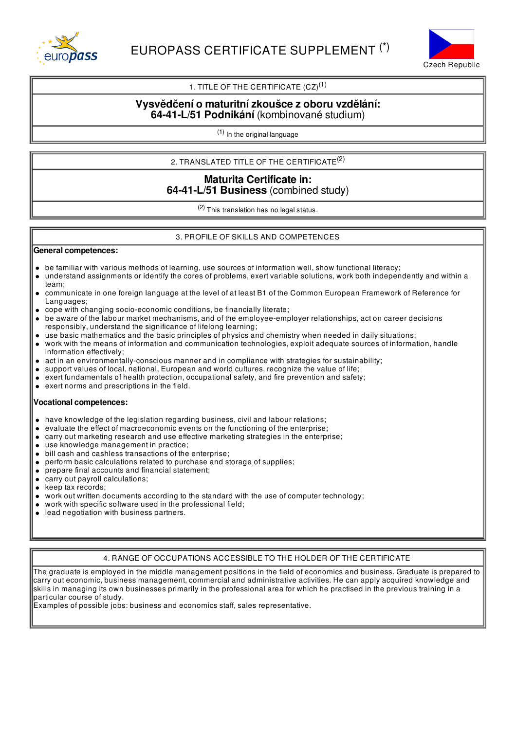



## 1. TITLE OF THE CERTIFICATE  $(CZ)^{(1)}$

## **Vysvědčení o maturitnízkoušce z oboru vzdělání: 64-41-L/51 Podnikání** (kombinované studium)

(1) In the original language

# 2. TRANSLATED TITLE OF THE CERTIFICATE $^{(2)}$

## **Maturita Certificate in: 64-41-L/51 Business** (combined study)

(2) This translation has no legal status.

### 3. PROFILE OF SKILLS AND COMPETENCES

## **General competences:**

- be familiar with various methods of learning, use sources of information well, show functional literacy;
- understand assignments or identify the cores of problems, exert variable solutions, work both independently and within a  $\bullet$ team;
- communicate in one foreign language at the level of at least B1 of the Common European Framework of Reference for  $\bullet$ Languages;
- cope with changing socio-economic conditions, be financially literate;
- be aware of the labour market mechanisms, and of the employee-employer relationships, act on career decisions responsibly, understand the significance of lifelong learning;
- use basic mathematics and the basic principles of physics and chemistry when needed in daily situations;
- work with the means of information and communication technologies, exploit adequate sources of information, handle information effectively;
- act in an environmentally-conscious manner and in compliance with strategies for sustainability;
- support values of local, national, European and world cultures, recognize the value of life;
- exert fundamentals of health protection, occupational safety, and fire prevention and safety;
- exert norms and prescriptions in the field.

#### **Vocational competences:**

- have knowledge of the legislation regarding business, civil and labour relations;
- evaluate the effect of macroeconomic events on the functioning of the enterprise;
- carry out marketing research and use effective marketing strategies in the enterprise;  $\bullet$
- use knowledge management in practice;
- bill cash and cashless transactions of the enterprise;
- perform basic calculations related to purchase and storage of supplies;
- $\bullet$ prepare final accounts and financial statement;
- carry out payroll calculations;
- keep tax records;  $\bullet$
- work out written documents according to the standard with the use of computer technology;
- work with specific software used in the professional field;  $\bullet$
- lead negotiation with business partners.

#### 4. RANGE OF OCCUPATIONS ACCESSIBLE TO THE HOLDER OF THE CERTIFICATE

The graduate is employed in the middle management positions in the field of economics and business. Graduate is prepared to carry out economic, business management, commercial and administrative activities. He can apply acquired knowledge and skills in managing its own businesses primarily in the professional area for which he practised in the previous training in a particular course of study.

Examples of possible jobs: business and economics staff, sales representative.